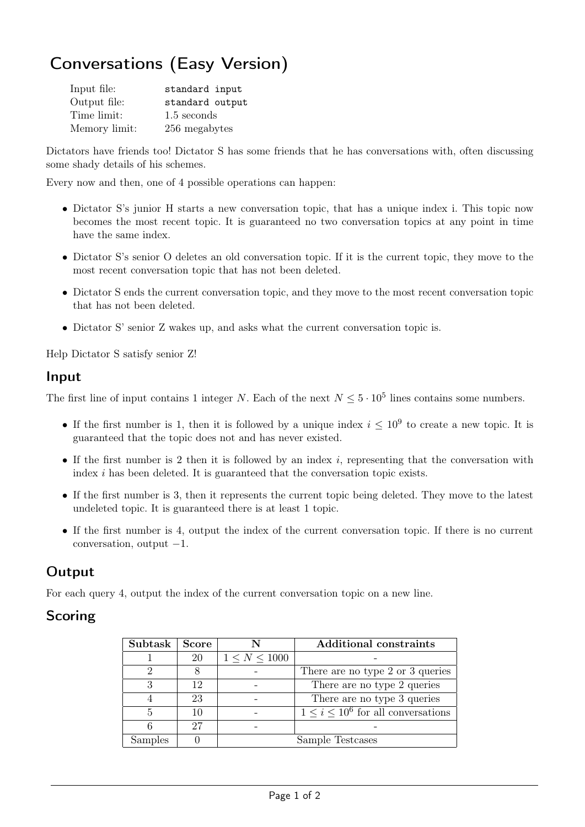# Conversations (Easy Version)

| Input file:   | standard input  |
|---------------|-----------------|
| Output file:  | standard output |
| Time limit:   | 1.5 seconds     |
| Memory limit: | 256 megabytes   |

Dictators have friends too! Dictator S has some friends that he has conversations with, often discussing some shady details of his schemes.

Every now and then, one of 4 possible operations can happen:

- Dictator S's junior H starts a new conversation topic, that has a unique index i. This topic now becomes the most recent topic. It is guaranteed no two conversation topics at any point in time have the same index.
- Dictator S's senior O deletes an old conversation topic. If it is the current topic, they move to the most recent conversation topic that has not been deleted.
- Dictator S ends the current conversation topic, and they move to the most recent conversation topic that has not been deleted.
- Dictator S' senior Z wakes up, and asks what the current conversation topic is.

Help Dictator S satisfy senior Z!

#### Input

The first line of input contains 1 integer N. Each of the next  $N \leq 5 \cdot 10^5$  lines contains some numbers.

- If the first number is 1, then it is followed by a unique index  $i \leq 10^9$  to create a new topic. It is guaranteed that the topic does not and has never existed.
- If the first number is 2 then it is followed by an index  $i$ , representing that the conversation with index i has been deleted. It is guaranteed that the conversation topic exists.
- If the first number is 3, then it represents the current topic being deleted. They move to the latest undeleted topic. It is guaranteed there is at least 1 topic.
- If the first number is 4, output the index of the current conversation topic. If there is no current conversation, output  $-1$ .

### **Output**

For each query 4, output the index of the current conversation topic on a new line.

#### Scoring

| Subtask | <b>Score</b> |                    | <b>Additional constraints</b>              |
|---------|--------------|--------------------|--------------------------------------------|
|         | 20           | $1 \le N \le 1000$ |                                            |
| റ       |              |                    | There are no type 2 or 3 queries           |
| 3       | 12           |                    | There are no type 2 queries                |
|         | 23           |                    | There are no type 3 queries                |
| 5       |              |                    | $1 \leq i \leq 10^6$ for all conversations |
|         | 27           |                    |                                            |
| Samples |              |                    | Sample Testcases                           |